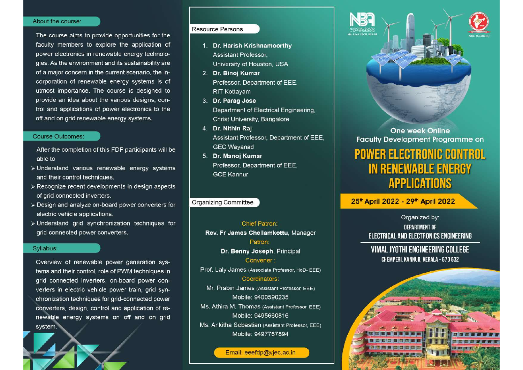#### About the course:

The course aims to provide opportunities for the faculty members to explore the application of power electronics in renewable energy technologies. As the environment and its sustainability are of a major concern in the current scenario, the incorporation of renewable energy systems is of utmost importance. The course is designed to provide an idea about the various designs, control and applications of power electronics to the off and on grid renewable energy systems.

#### **Course Outcomes:**

After the completion of this FDP participants will be able to

- > Understand various renewable energy systems and their control techniques.
- > Recognize recent developments in design aspects of grid connected inverters.
- > Design and analyze on-board power converters for electric vehicle applications.
- > Understand grid synchronization techniques for grid connected power converters.

#### Syllabus:

Overview of renewable power generation systems and their control, role of PWM techniques in grid connected inverters, on-board power converters in electric vehicle power train, grid synchronization techniques for grid-connected power converters, design, control and application of renewable energy systems on off and on grid system.

## **Resource Persons**

- 1. Dr. Harish Krishnamoorthy Assistant Professor, University of Houston, USA
- 2. Dr. Binoj Kumar Professor, Department of EEE. **RIT Kottavam**
- 3. Dr. Parag Jose Department of Electrical Engineering, **Christ University, Bangalore**
- 4. Dr. Nithin Raj Assistant Professor, Department of EEE, **GEC Wavanad**
- 5. Dr. Manoj Kumar Professor, Department of EEE, **GCE Kannur**

### Organizing Committee

**Chief Patron:** Rev. Fr James Chellamkottu, Manager Patron: Dr. Benny Joseph, Principal Convener: Prof. Laly James (Associate Professor, HoD- EEE) Coordinators: Mr. Prabin James (Assistant Professor, EEE) Mobile: 9400590235 Ms. Athira M. Thomas (Assistant Professor, EEE) Mobile: 9495660816 Ms. Ankitha Sebastian (Assistant Professor, EEE) Mobile: 9497767894

Email: eeefdp@vjec.ac.in



**One week Online Faculty Development Programme on** 

# **POWER ELECTRONIC CONTROL IN RENEWABLE ENERGY APPLICATIONS**

25<sup>th</sup> April 2022 - 29<sup>th</sup> April 2022

Organized by: **DEPARTMENT OF ELECTRICAL AND ELECTRONICS ENGINEERING** 

# VIMAL JYOTHI ENGINEERING COLLEGE CHEMPERI, KANNUR, KERALA - 670 632